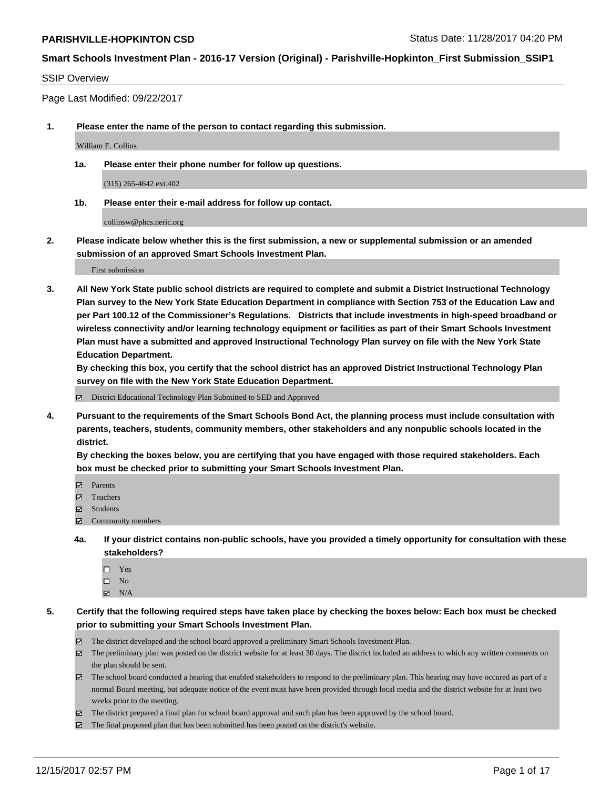#### SSIP Overview

Page Last Modified: 09/22/2017

**1. Please enter the name of the person to contact regarding this submission.**

William E. Collins

**1a. Please enter their phone number for follow up questions.**

(315) 265-4642 ext.402

**1b. Please enter their e-mail address for follow up contact.**

collinsw@phcs.neric.org

**2. Please indicate below whether this is the first submission, a new or supplemental submission or an amended submission of an approved Smart Schools Investment Plan.**

First submission

**3. All New York State public school districts are required to complete and submit a District Instructional Technology Plan survey to the New York State Education Department in compliance with Section 753 of the Education Law and per Part 100.12 of the Commissioner's Regulations. Districts that include investments in high-speed broadband or wireless connectivity and/or learning technology equipment or facilities as part of their Smart Schools Investment Plan must have a submitted and approved Instructional Technology Plan survey on file with the New York State Education Department.** 

**By checking this box, you certify that the school district has an approved District Instructional Technology Plan survey on file with the New York State Education Department.**

District Educational Technology Plan Submitted to SED and Approved

**4. Pursuant to the requirements of the Smart Schools Bond Act, the planning process must include consultation with parents, teachers, students, community members, other stakeholders and any nonpublic schools located in the district.** 

**By checking the boxes below, you are certifying that you have engaged with those required stakeholders. Each box must be checked prior to submitting your Smart Schools Investment Plan.**

- **マ** Parents
- Teachers
- **☑** Students
- $\Xi$  Community members
- **4a. If your district contains non-public schools, have you provided a timely opportunity for consultation with these stakeholders?**
	- □ Yes
	- $\square$  No
	- $\boxtimes$  N/A
- **5. Certify that the following required steps have taken place by checking the boxes below: Each box must be checked prior to submitting your Smart Schools Investment Plan.**
	- The district developed and the school board approved a preliminary Smart Schools Investment Plan.
	- The preliminary plan was posted on the district website for at least 30 days. The district included an address to which any written comments on the plan should be sent.
	- The school board conducted a hearing that enabled stakeholders to respond to the preliminary plan. This hearing may have occured as part of a normal Board meeting, but adequate notice of the event must have been provided through local media and the district website for at least two weeks prior to the meeting.
	- The district prepared a final plan for school board approval and such plan has been approved by the school board.
	- $\boxtimes$  The final proposed plan that has been submitted has been posted on the district's website.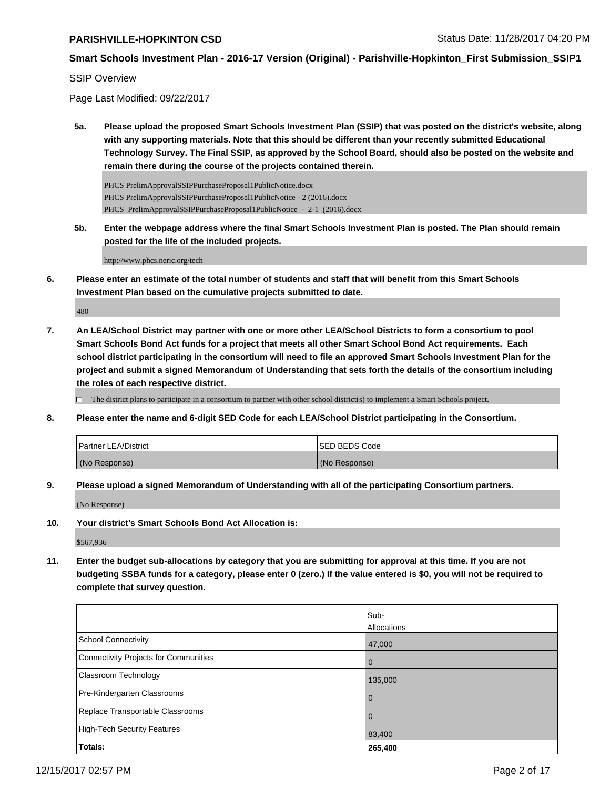#### SSIP Overview

Page Last Modified: 09/22/2017

**5a. Please upload the proposed Smart Schools Investment Plan (SSIP) that was posted on the district's website, along with any supporting materials. Note that this should be different than your recently submitted Educational Technology Survey. The Final SSIP, as approved by the School Board, should also be posted on the website and remain there during the course of the projects contained therein.**

PHCS PrelimApprovalSSIPPurchaseProposal1PublicNotice.docx PHCS PrelimApprovalSSIPPurchaseProposal1PublicNotice - 2 (2016).docx PHCS\_PrelimApprovalSSIPPurchaseProposal1PublicNotice\_-\_2-1\_(2016).docx

**5b. Enter the webpage address where the final Smart Schools Investment Plan is posted. The Plan should remain posted for the life of the included projects.**

http://www.phcs.neric.org/tech

**6. Please enter an estimate of the total number of students and staff that will benefit from this Smart Schools Investment Plan based on the cumulative projects submitted to date.**

480

**7. An LEA/School District may partner with one or more other LEA/School Districts to form a consortium to pool Smart Schools Bond Act funds for a project that meets all other Smart School Bond Act requirements. Each school district participating in the consortium will need to file an approved Smart Schools Investment Plan for the project and submit a signed Memorandum of Understanding that sets forth the details of the consortium including the roles of each respective district.**

 $\Box$  The district plans to participate in a consortium to partner with other school district(s) to implement a Smart Schools project.

**8. Please enter the name and 6-digit SED Code for each LEA/School District participating in the Consortium.**

| <b>Partner LEA/District</b> | ISED BEDS Code |
|-----------------------------|----------------|
| (No Response)               | (No Response)  |

**9. Please upload a signed Memorandum of Understanding with all of the participating Consortium partners.**

(No Response)

**10. Your district's Smart Schools Bond Act Allocation is:**

\$567,936

**11. Enter the budget sub-allocations by category that you are submitting for approval at this time. If you are not budgeting SSBA funds for a category, please enter 0 (zero.) If the value entered is \$0, you will not be required to complete that survey question.**

|                                              | Sub-        |
|----------------------------------------------|-------------|
|                                              | Allocations |
| <b>School Connectivity</b>                   | 47,000      |
| <b>Connectivity Projects for Communities</b> | 0           |
| Classroom Technology                         | 135,000     |
| Pre-Kindergarten Classrooms                  | $\Omega$    |
| Replace Transportable Classrooms             |             |
| <b>High-Tech Security Features</b>           | 83,400      |
| Totals:                                      | 265,400     |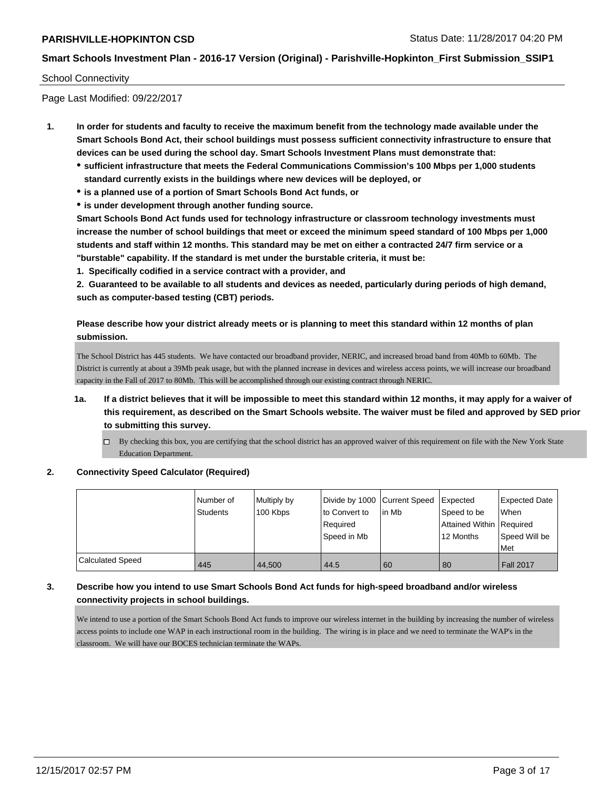## School Connectivity

Page Last Modified: 09/22/2017

- **1. In order for students and faculty to receive the maximum benefit from the technology made available under the Smart Schools Bond Act, their school buildings must possess sufficient connectivity infrastructure to ensure that devices can be used during the school day. Smart Schools Investment Plans must demonstrate that:**
	- **sufficient infrastructure that meets the Federal Communications Commission's 100 Mbps per 1,000 students standard currently exists in the buildings where new devices will be deployed, or**
	- **is a planned use of a portion of Smart Schools Bond Act funds, or**
	- **is under development through another funding source.**

**Smart Schools Bond Act funds used for technology infrastructure or classroom technology investments must increase the number of school buildings that meet or exceed the minimum speed standard of 100 Mbps per 1,000 students and staff within 12 months. This standard may be met on either a contracted 24/7 firm service or a "burstable" capability. If the standard is met under the burstable criteria, it must be:**

**1. Specifically codified in a service contract with a provider, and**

**2. Guaranteed to be available to all students and devices as needed, particularly during periods of high demand, such as computer-based testing (CBT) periods.**

**Please describe how your district already meets or is planning to meet this standard within 12 months of plan submission.**

The School District has 445 students. We have contacted our broadband provider, NERIC, and increased broad band from 40Mb to 60Mb. The District is currently at about a 39Mb peak usage, but with the planned increase in devices and wireless access points, we will increase our broadband capacity in the Fall of 2017 to 80Mb. This will be accomplished through our existing contract through NERIC.

- **1a. If a district believes that it will be impossible to meet this standard within 12 months, it may apply for a waiver of this requirement, as described on the Smart Schools website. The waiver must be filed and approved by SED prior to submitting this survey.**
	- By checking this box, you are certifying that the school district has an approved waiver of this requirement on file with the New York State Education Department.
- **2. Connectivity Speed Calculator (Required)**

|                         | Number of<br>Students | Multiply by<br>100 Kbps | Divide by 1000 Current Speed<br>to Convert to<br>Required<br>Speed in Mb | lin Mb | <b>Expected</b><br>Speed to be<br>Attained Within Required<br>12 Months | Expected Date<br>When<br>Speed Will be<br>Met |
|-------------------------|-----------------------|-------------------------|--------------------------------------------------------------------------|--------|-------------------------------------------------------------------------|-----------------------------------------------|
| <b>Calculated Speed</b> | 445                   | 44.500                  | 44.5                                                                     | 60     | 80                                                                      | <b>Fall 2017</b>                              |

## **3. Describe how you intend to use Smart Schools Bond Act funds for high-speed broadband and/or wireless connectivity projects in school buildings.**

We intend to use a portion of the Smart Schools Bond Act funds to improve our wireless internet in the building by increasing the number of wireless access points to include one WAP in each instructional room in the building. The wiring is in place and we need to terminate the WAP's in the classroom. We will have our BOCES technician terminate the WAPs.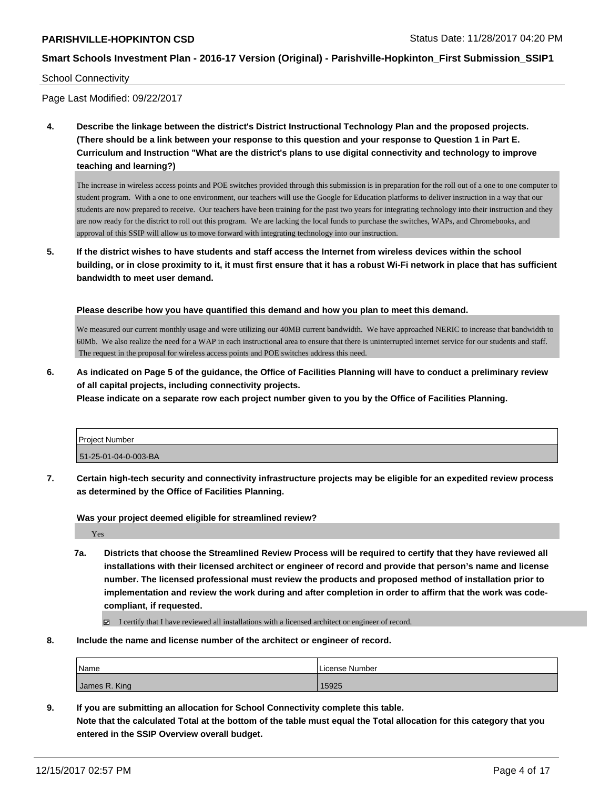#### School Connectivity

Page Last Modified: 09/22/2017

**4. Describe the linkage between the district's District Instructional Technology Plan and the proposed projects. (There should be a link between your response to this question and your response to Question 1 in Part E. Curriculum and Instruction "What are the district's plans to use digital connectivity and technology to improve teaching and learning?)**

The increase in wireless access points and POE switches provided through this submission is in preparation for the roll out of a one to one computer to student program. With a one to one environment, our teachers will use the Google for Education platforms to deliver instruction in a way that our students are now prepared to receive. Our teachers have been training for the past two years for integrating technology into their instruction and they are now ready for the district to roll out this program. We are lacking the local funds to purchase the switches, WAPs, and Chromebooks, and approval of this SSIP will allow us to move forward with integrating technology into our instruction.

**5. If the district wishes to have students and staff access the Internet from wireless devices within the school building, or in close proximity to it, it must first ensure that it has a robust Wi-Fi network in place that has sufficient bandwidth to meet user demand.**

**Please describe how you have quantified this demand and how you plan to meet this demand.**

We measured our current monthly usage and were utilizing our 40MB current bandwidth. We have approached NERIC to increase that bandwidth to 60Mb. We also realize the need for a WAP in each instructional area to ensure that there is uninterrupted internet service for our students and staff. The request in the proposal for wireless access points and POE switches address this need.

**6. As indicated on Page 5 of the guidance, the Office of Facilities Planning will have to conduct a preliminary review of all capital projects, including connectivity projects.**

**Please indicate on a separate row each project number given to you by the Office of Facilities Planning.**

| <b>Project Number</b> |  |
|-----------------------|--|
| 51-25-01-04-0-003-BA  |  |

**7. Certain high-tech security and connectivity infrastructure projects may be eligible for an expedited review process as determined by the Office of Facilities Planning.**

**Was your project deemed eligible for streamlined review?**

Yes

**7a. Districts that choose the Streamlined Review Process will be required to certify that they have reviewed all installations with their licensed architect or engineer of record and provide that person's name and license number. The licensed professional must review the products and proposed method of installation prior to implementation and review the work during and after completion in order to affirm that the work was codecompliant, if requested.**

I certify that I have reviewed all installations with a licensed architect or engineer of record.

**8. Include the name and license number of the architect or engineer of record.**

| Name          | License Number |
|---------------|----------------|
| James R. King | 15925          |

**9. If you are submitting an allocation for School Connectivity complete this table. Note that the calculated Total at the bottom of the table must equal the Total allocation for this category that you entered in the SSIP Overview overall budget.**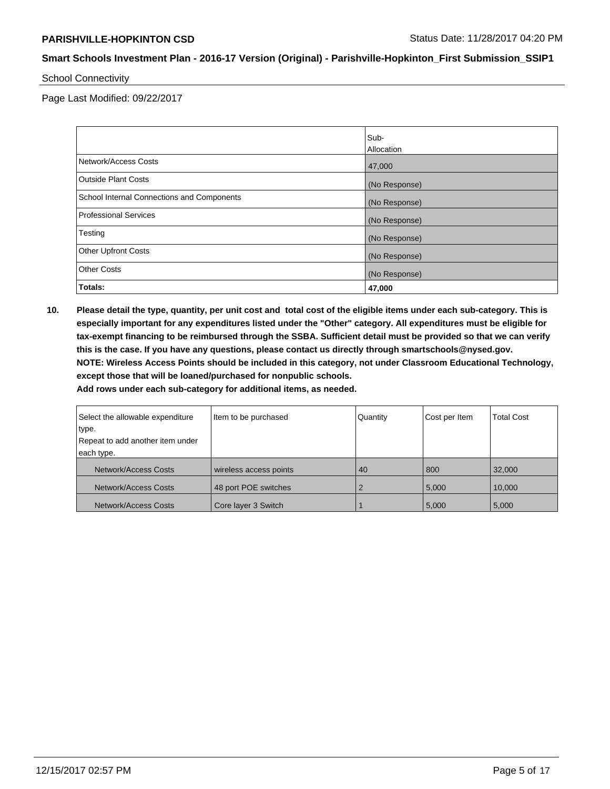School Connectivity

Page Last Modified: 09/22/2017

|                                            | Sub-<br>Allocation |
|--------------------------------------------|--------------------|
| Network/Access Costs                       | 47,000             |
| <b>Outside Plant Costs</b>                 | (No Response)      |
| School Internal Connections and Components | (No Response)      |
| <b>Professional Services</b>               | (No Response)      |
| Testing                                    | (No Response)      |
| <b>Other Upfront Costs</b>                 | (No Response)      |
| <b>Other Costs</b>                         | (No Response)      |
| Totals:                                    | 47,000             |

**10. Please detail the type, quantity, per unit cost and total cost of the eligible items under each sub-category. This is especially important for any expenditures listed under the "Other" category. All expenditures must be eligible for tax-exempt financing to be reimbursed through the SSBA. Sufficient detail must be provided so that we can verify this is the case. If you have any questions, please contact us directly through smartschools@nysed.gov. NOTE: Wireless Access Points should be included in this category, not under Classroom Educational Technology, except those that will be loaned/purchased for nonpublic schools.**

| Select the allowable expenditure | Item to be purchased   | Quantity | Cost per Item | <b>Total Cost</b> |
|----------------------------------|------------------------|----------|---------------|-------------------|
| type.                            |                        |          |               |                   |
| Repeat to add another item under |                        |          |               |                   |
| each type.                       |                        |          |               |                   |
| Network/Access Costs             | wireless access points | 40       | 800           | 32,000            |
| Network/Access Costs             | 48 port POE switches   |          | 5,000         | 10.000            |
| Network/Access Costs             | Core layer 3 Switch    |          | 5,000         | 5,000             |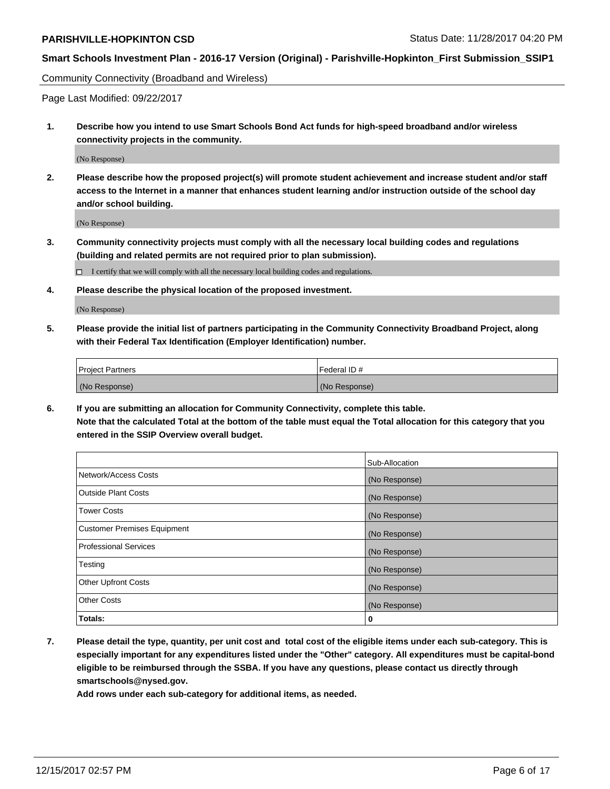## **Smart Schools Investment Plan - 2016-17 Version (Original) - Parishville-Hopkinton\_First Submission\_SSIP1**

Community Connectivity (Broadband and Wireless)

Page Last Modified: 09/22/2017

**1. Describe how you intend to use Smart Schools Bond Act funds for high-speed broadband and/or wireless connectivity projects in the community.**

(No Response)

**2. Please describe how the proposed project(s) will promote student achievement and increase student and/or staff access to the Internet in a manner that enhances student learning and/or instruction outside of the school day and/or school building.**

(No Response)

**3. Community connectivity projects must comply with all the necessary local building codes and regulations (building and related permits are not required prior to plan submission).**

 $\Box$  I certify that we will comply with all the necessary local building codes and regulations.

**4. Please describe the physical location of the proposed investment.**

(No Response)

**5. Please provide the initial list of partners participating in the Community Connectivity Broadband Project, along with their Federal Tax Identification (Employer Identification) number.**

| <b>Project Partners</b> | Federal ID #  |
|-------------------------|---------------|
| (No Response)           | (No Response) |

**6. If you are submitting an allocation for Community Connectivity, complete this table. Note that the calculated Total at the bottom of the table must equal the Total allocation for this category that you entered in the SSIP Overview overall budget.**

|                                    | Sub-Allocation |
|------------------------------------|----------------|
| Network/Access Costs               | (No Response)  |
| <b>Outside Plant Costs</b>         | (No Response)  |
| <b>Tower Costs</b>                 | (No Response)  |
| <b>Customer Premises Equipment</b> | (No Response)  |
| <b>Professional Services</b>       | (No Response)  |
| Testing                            | (No Response)  |
| <b>Other Upfront Costs</b>         | (No Response)  |
| <b>Other Costs</b>                 | (No Response)  |
| Totals:                            | 0              |

**7. Please detail the type, quantity, per unit cost and total cost of the eligible items under each sub-category. This is especially important for any expenditures listed under the "Other" category. All expenditures must be capital-bond eligible to be reimbursed through the SSBA. If you have any questions, please contact us directly through smartschools@nysed.gov.**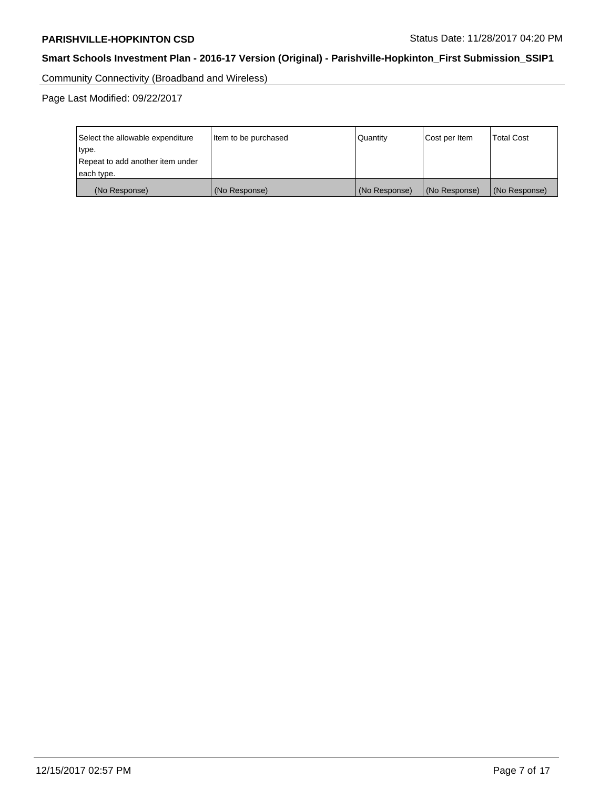Community Connectivity (Broadband and Wireless)

Page Last Modified: 09/22/2017

| Select the allowable expenditure<br>type.<br>Repeat to add another item under<br>each type. | Item to be purchased | Quantity      | Cost per Item | <b>Total Cost</b> |
|---------------------------------------------------------------------------------------------|----------------------|---------------|---------------|-------------------|
| (No Response)                                                                               | (No Response)        | (No Response) | (No Response) | (No Response)     |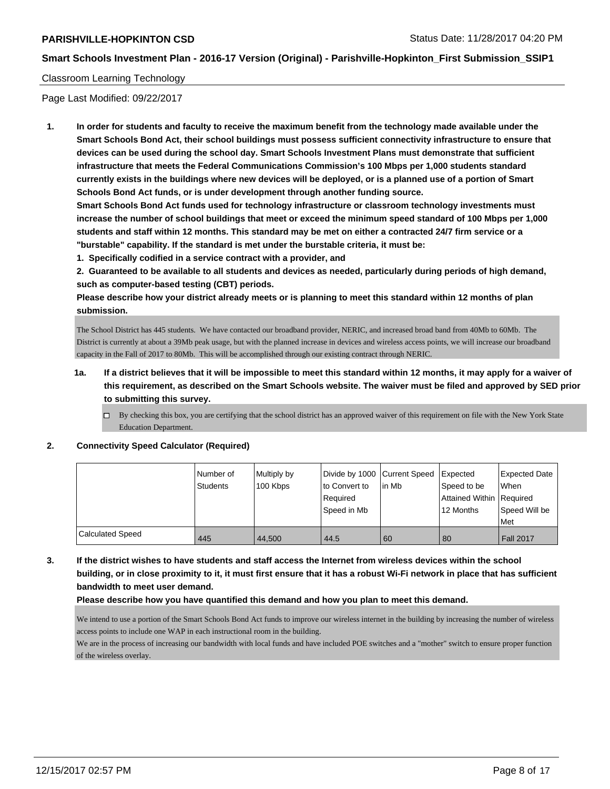### Classroom Learning Technology

Page Last Modified: 09/22/2017

**1. In order for students and faculty to receive the maximum benefit from the technology made available under the Smart Schools Bond Act, their school buildings must possess sufficient connectivity infrastructure to ensure that devices can be used during the school day. Smart Schools Investment Plans must demonstrate that sufficient infrastructure that meets the Federal Communications Commission's 100 Mbps per 1,000 students standard currently exists in the buildings where new devices will be deployed, or is a planned use of a portion of Smart Schools Bond Act funds, or is under development through another funding source.**

**Smart Schools Bond Act funds used for technology infrastructure or classroom technology investments must increase the number of school buildings that meet or exceed the minimum speed standard of 100 Mbps per 1,000 students and staff within 12 months. This standard may be met on either a contracted 24/7 firm service or a "burstable" capability. If the standard is met under the burstable criteria, it must be:**

**1. Specifically codified in a service contract with a provider, and**

**2. Guaranteed to be available to all students and devices as needed, particularly during periods of high demand, such as computer-based testing (CBT) periods.**

**Please describe how your district already meets or is planning to meet this standard within 12 months of plan submission.**

The School District has 445 students. We have contacted our broadband provider, NERIC, and increased broad band from 40Mb to 60Mb. The District is currently at about a 39Mb peak usage, but with the planned increase in devices and wireless access points, we will increase our broadband capacity in the Fall of 2017 to 80Mb. This will be accomplished through our existing contract through NERIC.

## **1a. If a district believes that it will be impossible to meet this standard within 12 months, it may apply for a waiver of this requirement, as described on the Smart Schools website. The waiver must be filed and approved by SED prior to submitting this survey.**

 $\Box$  By checking this box, you are certifying that the school district has an approved waiver of this requirement on file with the New York State Education Department.

#### **2. Connectivity Speed Calculator (Required)**

|                         | I Number of<br>Students | Multiply by<br>100 Kbps | to Convert to<br>Required<br>Speed in Mb | Divide by 1000 Current Speed Expected<br>l in Mb | Speed to be<br>Attained Within Required<br>12 Months | Expected Date<br>When<br>Speed Will be<br>Met |
|-------------------------|-------------------------|-------------------------|------------------------------------------|--------------------------------------------------|------------------------------------------------------|-----------------------------------------------|
| <b>Calculated Speed</b> | 445                     | 44.500                  | 44.5                                     | -60                                              | 80                                                   | <b>Fall 2017</b>                              |

**3. If the district wishes to have students and staff access the Internet from wireless devices within the school building, or in close proximity to it, it must first ensure that it has a robust Wi-Fi network in place that has sufficient bandwidth to meet user demand.**

#### **Please describe how you have quantified this demand and how you plan to meet this demand.**

We intend to use a portion of the Smart Schools Bond Act funds to improve our wireless internet in the building by increasing the number of wireless access points to include one WAP in each instructional room in the building.

We are in the process of increasing our bandwidth with local funds and have included POE switches and a "mother" switch to ensure proper function of the wireless overlay.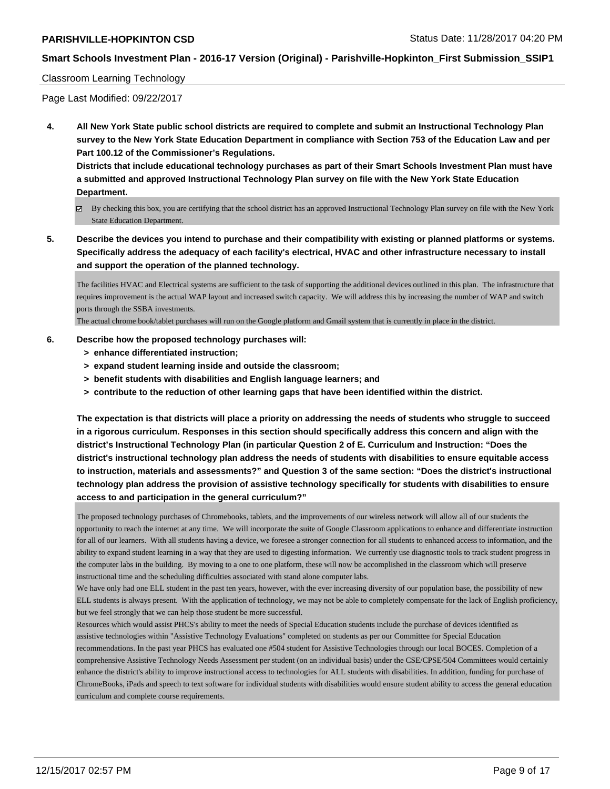## **PARISHVILLE-HOPKINTON CSD STATUS DATE: 11/28/2017 04:20 PM**

## **Smart Schools Investment Plan - 2016-17 Version (Original) - Parishville-Hopkinton\_First Submission\_SSIP1**

#### Classroom Learning Technology

Page Last Modified: 09/22/2017

**4. All New York State public school districts are required to complete and submit an Instructional Technology Plan survey to the New York State Education Department in compliance with Section 753 of the Education Law and per Part 100.12 of the Commissioner's Regulations.**

**Districts that include educational technology purchases as part of their Smart Schools Investment Plan must have a submitted and approved Instructional Technology Plan survey on file with the New York State Education Department.**

- By checking this box, you are certifying that the school district has an approved Instructional Technology Plan survey on file with the New York State Education Department.
- **5. Describe the devices you intend to purchase and their compatibility with existing or planned platforms or systems. Specifically address the adequacy of each facility's electrical, HVAC and other infrastructure necessary to install and support the operation of the planned technology.**

The facilities HVAC and Electrical systems are sufficient to the task of supporting the additional devices outlined in this plan. The infrastructure that requires improvement is the actual WAP layout and increased switch capacity. We will address this by increasing the number of WAP and switch ports through the SSBA investments.

The actual chrome book/tablet purchases will run on the Google platform and Gmail system that is currently in place in the district.

#### **6. Describe how the proposed technology purchases will:**

- **> enhance differentiated instruction;**
- **> expand student learning inside and outside the classroom;**
- **> benefit students with disabilities and English language learners; and**
- **> contribute to the reduction of other learning gaps that have been identified within the district.**

**The expectation is that districts will place a priority on addressing the needs of students who struggle to succeed in a rigorous curriculum. Responses in this section should specifically address this concern and align with the district's Instructional Technology Plan (in particular Question 2 of E. Curriculum and Instruction: "Does the district's instructional technology plan address the needs of students with disabilities to ensure equitable access to instruction, materials and assessments?" and Question 3 of the same section: "Does the district's instructional technology plan address the provision of assistive technology specifically for students with disabilities to ensure access to and participation in the general curriculum?"**

The proposed technology purchases of Chromebooks, tablets, and the improvements of our wireless network will allow all of our students the opportunity to reach the internet at any time. We will incorporate the suite of Google Classroom applications to enhance and differentiate instruction for all of our learners. With all students having a device, we foresee a stronger connection for all students to enhanced access to information, and the ability to expand student learning in a way that they are used to digesting information. We currently use diagnostic tools to track student progress in the computer labs in the building. By moving to a one to one platform, these will now be accomplished in the classroom which will preserve instructional time and the scheduling difficulties associated with stand alone computer labs.

We have only had one ELL student in the past ten years, however, with the ever increasing diversity of our population base, the possibility of new ELL students is always present. With the application of technology, we may not be able to completely compensate for the lack of English proficiency, but we feel strongly that we can help those student be more successful.

Resources which would assist PHCS's ability to meet the needs of Special Education students include the purchase of devices identified as assistive technologies within "Assistive Technology Evaluations" completed on students as per our Committee for Special Education recommendations. In the past year PHCS has evaluated one #504 student for Assistive Technologies through our local BOCES. Completion of a comprehensive Assistive Technology Needs Assessment per student (on an individual basis) under the CSE/CPSE/504 Committees would certainly enhance the district's ability to improve instructional access to technologies for ALL students with disabilities. In addition, funding for purchase of ChromeBooks, iPads and speech to text software for individual students with disabilities would ensure student ability to access the general education curriculum and complete course requirements.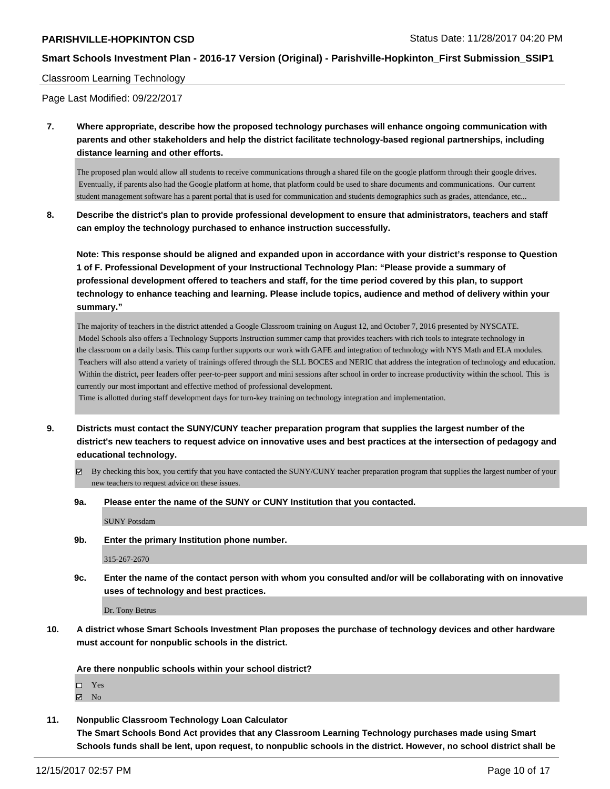## **Smart Schools Investment Plan - 2016-17 Version (Original) - Parishville-Hopkinton\_First Submission\_SSIP1**

#### Classroom Learning Technology

Page Last Modified: 09/22/2017

**7. Where appropriate, describe how the proposed technology purchases will enhance ongoing communication with parents and other stakeholders and help the district facilitate technology-based regional partnerships, including distance learning and other efforts.**

The proposed plan would allow all students to receive communications through a shared file on the google platform through their google drives. Eventually, if parents also had the Google platform at home, that platform could be used to share documents and communications. Our current student management software has a parent portal that is used for communication and students demographics such as grades, attendance, etc...

**8. Describe the district's plan to provide professional development to ensure that administrators, teachers and staff can employ the technology purchased to enhance instruction successfully.**

**Note: This response should be aligned and expanded upon in accordance with your district's response to Question 1 of F. Professional Development of your Instructional Technology Plan: "Please provide a summary of professional development offered to teachers and staff, for the time period covered by this plan, to support technology to enhance teaching and learning. Please include topics, audience and method of delivery within your summary."**

The majority of teachers in the district attended a Google Classroom training on August 12, and October 7, 2016 presented by NYSCATE. Model Schools also offers a Technology Supports Instruction summer camp that provides teachers with rich tools to integrate technology in the classroom on a daily basis. This camp further supports our work with GAFE and integration of technology with NYS Math and ELA modules. Teachers will also attend a variety of trainings offered through the SLL BOCES and NERIC that address the integration of technology and education. Within the district, peer leaders offer peer-to-peer support and mini sessions after school in order to increase productivity within the school. This is currently our most important and effective method of professional development.

Time is allotted during staff development days for turn-key training on technology integration and implementation.

- **9. Districts must contact the SUNY/CUNY teacher preparation program that supplies the largest number of the district's new teachers to request advice on innovative uses and best practices at the intersection of pedagogy and educational technology.**
	- $\boxtimes$  By checking this box, you certify that you have contacted the SUNY/CUNY teacher preparation program that supplies the largest number of your new teachers to request advice on these issues.
	- **9a. Please enter the name of the SUNY or CUNY Institution that you contacted.**

SUNY Potsdam

**9b. Enter the primary Institution phone number.**

315-267-2670

**9c. Enter the name of the contact person with whom you consulted and/or will be collaborating with on innovative uses of technology and best practices.**

Dr. Tony Betrus

**10. A district whose Smart Schools Investment Plan proposes the purchase of technology devices and other hardware must account for nonpublic schools in the district.**

**Are there nonpublic schools within your school district?**

- Yes
- $\boxtimes$  No
- **11. Nonpublic Classroom Technology Loan Calculator**

**The Smart Schools Bond Act provides that any Classroom Learning Technology purchases made using Smart Schools funds shall be lent, upon request, to nonpublic schools in the district. However, no school district shall be**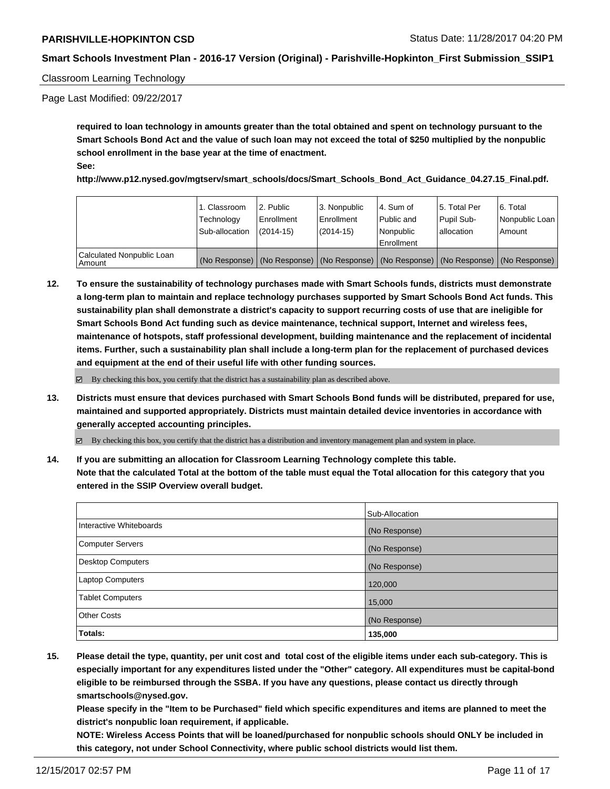### Classroom Learning Technology

Page Last Modified: 09/22/2017

**required to loan technology in amounts greater than the total obtained and spent on technology pursuant to the Smart Schools Bond Act and the value of such loan may not exceed the total of \$250 multiplied by the nonpublic school enrollment in the base year at the time of enactment. See:**

**http://www.p12.nysed.gov/mgtserv/smart\_schools/docs/Smart\_Schools\_Bond\_Act\_Guidance\_04.27.15\_Final.pdf.**

|                                         | 1. Classroom<br>Technology<br>Sub-allocation | 2. Public<br>Enrollment<br>$(2014-15)$ | 3. Nonpublic<br>Enrollment<br>$(2014-15)$ | l 4. Sum of<br>Public and<br>l Nonpublic<br>l Enrollment                      | 15. Total Per<br>Pupil Sub-<br>l allocation | l 6. Total<br>Nonpublic Loan<br>Amount |
|-----------------------------------------|----------------------------------------------|----------------------------------------|-------------------------------------------|-------------------------------------------------------------------------------|---------------------------------------------|----------------------------------------|
| Calculated Nonpublic Loan<br>l Amount i | (No Response)                                |                                        |                                           | (No Response)   (No Response)   (No Response)   (No Response)   (No Response) |                                             |                                        |

**12. To ensure the sustainability of technology purchases made with Smart Schools funds, districts must demonstrate a long-term plan to maintain and replace technology purchases supported by Smart Schools Bond Act funds. This sustainability plan shall demonstrate a district's capacity to support recurring costs of use that are ineligible for Smart Schools Bond Act funding such as device maintenance, technical support, Internet and wireless fees, maintenance of hotspots, staff professional development, building maintenance and the replacement of incidental items. Further, such a sustainability plan shall include a long-term plan for the replacement of purchased devices and equipment at the end of their useful life with other funding sources.**

By checking this box, you certify that the district has a sustainability plan as described above.

**13. Districts must ensure that devices purchased with Smart Schools Bond funds will be distributed, prepared for use, maintained and supported appropriately. Districts must maintain detailed device inventories in accordance with generally accepted accounting principles.**

By checking this box, you certify that the district has a distribution and inventory management plan and system in place.

**14. If you are submitting an allocation for Classroom Learning Technology complete this table. Note that the calculated Total at the bottom of the table must equal the Total allocation for this category that you entered in the SSIP Overview overall budget.**

|                         | Sub-Allocation |
|-------------------------|----------------|
| Interactive Whiteboards | (No Response)  |
| Computer Servers        | (No Response)  |
| Desktop Computers       | (No Response)  |
| Laptop Computers        | 120,000        |
| <b>Tablet Computers</b> | 15,000         |
| <b>Other Costs</b>      | (No Response)  |
| <b>Totals:</b>          | 135,000        |

**15. Please detail the type, quantity, per unit cost and total cost of the eligible items under each sub-category. This is especially important for any expenditures listed under the "Other" category. All expenditures must be capital-bond eligible to be reimbursed through the SSBA. If you have any questions, please contact us directly through smartschools@nysed.gov.**

**Please specify in the "Item to be Purchased" field which specific expenditures and items are planned to meet the district's nonpublic loan requirement, if applicable.**

**NOTE: Wireless Access Points that will be loaned/purchased for nonpublic schools should ONLY be included in this category, not under School Connectivity, where public school districts would list them.**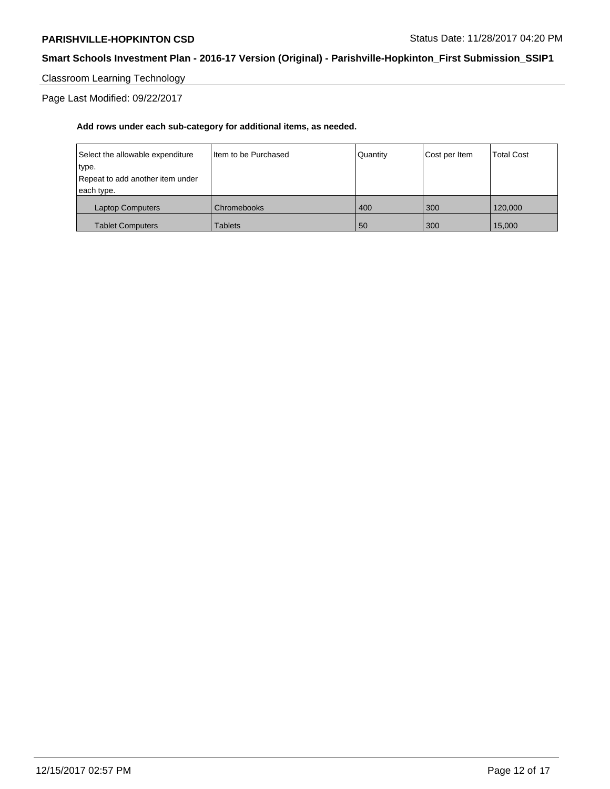## **Smart Schools Investment Plan - 2016-17 Version (Original) - Parishville-Hopkinton\_First Submission\_SSIP1**

Classroom Learning Technology

Page Last Modified: 09/22/2017

| Select the allowable expenditure | Item to be Purchased | Quantity | Cost per Item | <b>Total Cost</b> |
|----------------------------------|----------------------|----------|---------------|-------------------|
| type.                            |                      |          |               |                   |
| Repeat to add another item under |                      |          |               |                   |
| each type.                       |                      |          |               |                   |
| Laptop Computers                 | Chromebooks          | 400      | 300           | 120,000           |
| <b>Tablet Computers</b>          | Tablets              | 50       | 300           | 15,000            |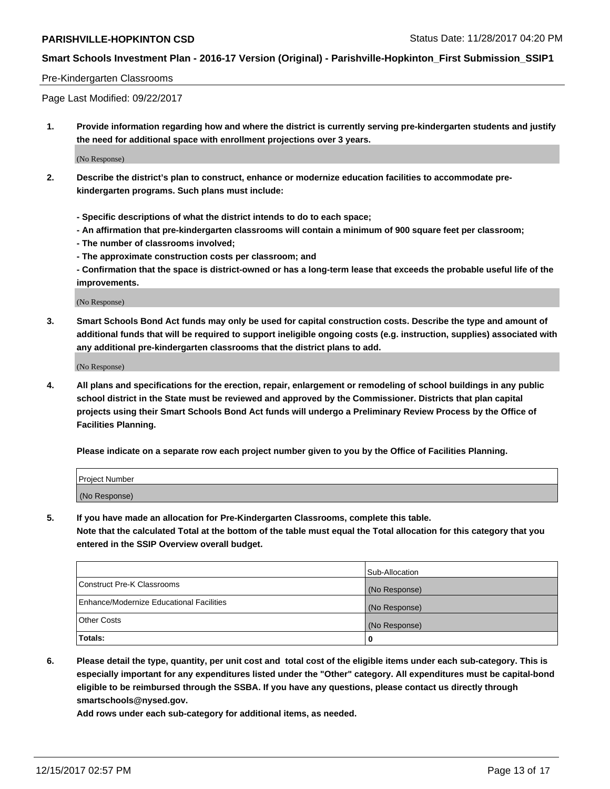## **Smart Schools Investment Plan - 2016-17 Version (Original) - Parishville-Hopkinton\_First Submission\_SSIP1**

#### Pre-Kindergarten Classrooms

Page Last Modified: 09/22/2017

**1. Provide information regarding how and where the district is currently serving pre-kindergarten students and justify the need for additional space with enrollment projections over 3 years.**

(No Response)

- **2. Describe the district's plan to construct, enhance or modernize education facilities to accommodate prekindergarten programs. Such plans must include:**
	- **Specific descriptions of what the district intends to do to each space;**
	- **An affirmation that pre-kindergarten classrooms will contain a minimum of 900 square feet per classroom;**
	- **The number of classrooms involved;**
	- **The approximate construction costs per classroom; and**

**- Confirmation that the space is district-owned or has a long-term lease that exceeds the probable useful life of the improvements.**

(No Response)

**3. Smart Schools Bond Act funds may only be used for capital construction costs. Describe the type and amount of additional funds that will be required to support ineligible ongoing costs (e.g. instruction, supplies) associated with any additional pre-kindergarten classrooms that the district plans to add.**

(No Response)

**4. All plans and specifications for the erection, repair, enlargement or remodeling of school buildings in any public school district in the State must be reviewed and approved by the Commissioner. Districts that plan capital projects using their Smart Schools Bond Act funds will undergo a Preliminary Review Process by the Office of Facilities Planning.**

**Please indicate on a separate row each project number given to you by the Office of Facilities Planning.**

| Project Number |  |
|----------------|--|
| (No Response)  |  |

**5. If you have made an allocation for Pre-Kindergarten Classrooms, complete this table.**

**Note that the calculated Total at the bottom of the table must equal the Total allocation for this category that you entered in the SSIP Overview overall budget.**

|                                          | Sub-Allocation |
|------------------------------------------|----------------|
| Construct Pre-K Classrooms               | (No Response)  |
| Enhance/Modernize Educational Facilities | (No Response)  |
| <b>Other Costs</b>                       | (No Response)  |
| Totals:                                  | 0              |

**6. Please detail the type, quantity, per unit cost and total cost of the eligible items under each sub-category. This is especially important for any expenditures listed under the "Other" category. All expenditures must be capital-bond eligible to be reimbursed through the SSBA. If you have any questions, please contact us directly through smartschools@nysed.gov.**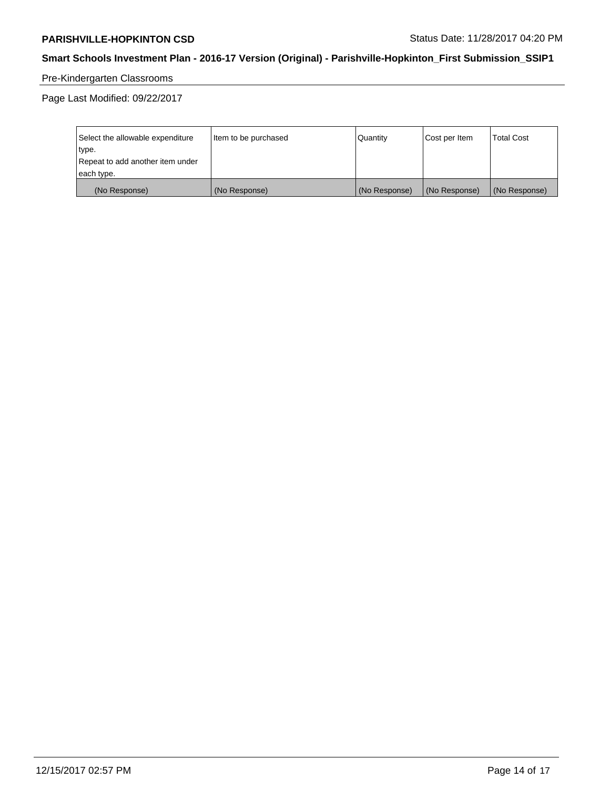# **Smart Schools Investment Plan - 2016-17 Version (Original) - Parishville-Hopkinton\_First Submission\_SSIP1**

# Pre-Kindergarten Classrooms

Page Last Modified: 09/22/2017

| Select the allowable expenditure | Item to be purchased | Quantity      | Cost per Item | <b>Total Cost</b> |
|----------------------------------|----------------------|---------------|---------------|-------------------|
| type.                            |                      |               |               |                   |
| Repeat to add another item under |                      |               |               |                   |
| each type.                       |                      |               |               |                   |
| (No Response)                    | (No Response)        | (No Response) | (No Response) | (No Response)     |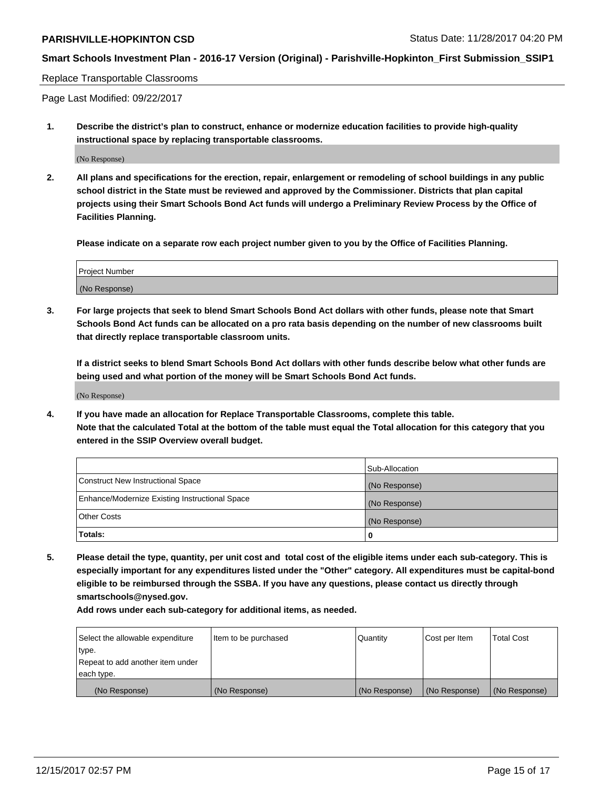## **Smart Schools Investment Plan - 2016-17 Version (Original) - Parishville-Hopkinton\_First Submission\_SSIP1**

#### Replace Transportable Classrooms

Page Last Modified: 09/22/2017

**1. Describe the district's plan to construct, enhance or modernize education facilities to provide high-quality instructional space by replacing transportable classrooms.**

(No Response)

**2. All plans and specifications for the erection, repair, enlargement or remodeling of school buildings in any public school district in the State must be reviewed and approved by the Commissioner. Districts that plan capital projects using their Smart Schools Bond Act funds will undergo a Preliminary Review Process by the Office of Facilities Planning.**

**Please indicate on a separate row each project number given to you by the Office of Facilities Planning.**

| Project Number |  |
|----------------|--|
| (No Response)  |  |

**3. For large projects that seek to blend Smart Schools Bond Act dollars with other funds, please note that Smart Schools Bond Act funds can be allocated on a pro rata basis depending on the number of new classrooms built that directly replace transportable classroom units.**

**If a district seeks to blend Smart Schools Bond Act dollars with other funds describe below what other funds are being used and what portion of the money will be Smart Schools Bond Act funds.**

(No Response)

**4. If you have made an allocation for Replace Transportable Classrooms, complete this table. Note that the calculated Total at the bottom of the table must equal the Total allocation for this category that you entered in the SSIP Overview overall budget.**

|                                                | Sub-Allocation |
|------------------------------------------------|----------------|
| Construct New Instructional Space              | (No Response)  |
| Enhance/Modernize Existing Instructional Space | (No Response)  |
| <b>Other Costs</b>                             | (No Response)  |
| Totals:                                        | 0              |

**5. Please detail the type, quantity, per unit cost and total cost of the eligible items under each sub-category. This is especially important for any expenditures listed under the "Other" category. All expenditures must be capital-bond eligible to be reimbursed through the SSBA. If you have any questions, please contact us directly through smartschools@nysed.gov.**

| Select the allowable expenditure | Item to be purchased | Quantity      | Cost per Item | <b>Total Cost</b> |
|----------------------------------|----------------------|---------------|---------------|-------------------|
| type.                            |                      |               |               |                   |
| Repeat to add another item under |                      |               |               |                   |
| each type.                       |                      |               |               |                   |
| (No Response)                    | (No Response)        | (No Response) | (No Response) | (No Response)     |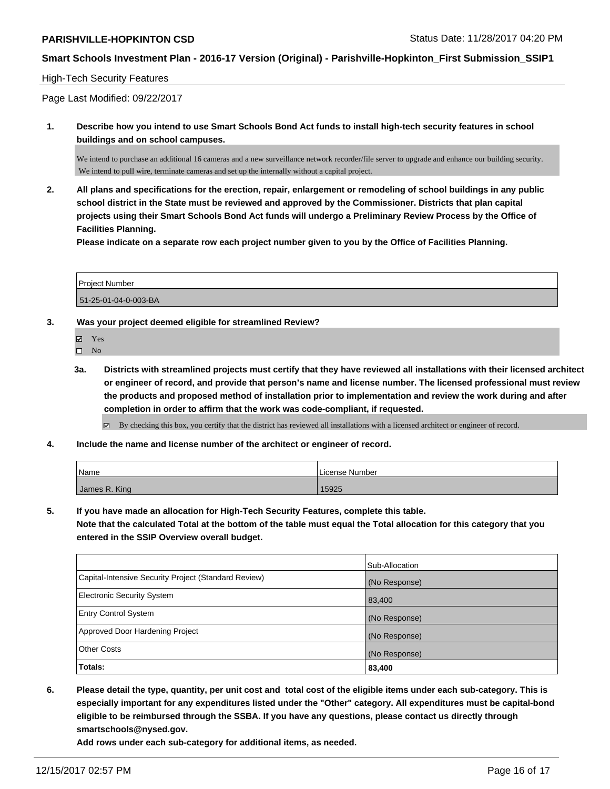## **Smart Schools Investment Plan - 2016-17 Version (Original) - Parishville-Hopkinton\_First Submission\_SSIP1**

#### High-Tech Security Features

Page Last Modified: 09/22/2017

**1. Describe how you intend to use Smart Schools Bond Act funds to install high-tech security features in school buildings and on school campuses.**

We intend to purchase an additional 16 cameras and a new surveillance network recorder/file server to upgrade and enhance our building security. We intend to pull wire, terminate cameras and set up the internally without a capital project.

**2. All plans and specifications for the erection, repair, enlargement or remodeling of school buildings in any public school district in the State must be reviewed and approved by the Commissioner. Districts that plan capital projects using their Smart Schools Bond Act funds will undergo a Preliminary Review Process by the Office of Facilities Planning.** 

**Please indicate on a separate row each project number given to you by the Office of Facilities Planning.**

| Project Number       |  |
|----------------------|--|
| 51-25-01-04-0-003-BA |  |

**3. Was your project deemed eligible for streamlined Review?**

Yes  $\square$  No

**3a. Districts with streamlined projects must certify that they have reviewed all installations with their licensed architect or engineer of record, and provide that person's name and license number. The licensed professional must review the products and proposed method of installation prior to implementation and review the work during and after completion in order to affirm that the work was code-compliant, if requested.**

By checking this box, you certify that the district has reviewed all installations with a licensed architect or engineer of record.

**4. Include the name and license number of the architect or engineer of record.**

| Name          | License Number |
|---------------|----------------|
| James R. King | 15925          |

**5. If you have made an allocation for High-Tech Security Features, complete this table.**

**Note that the calculated Total at the bottom of the table must equal the Total allocation for this category that you entered in the SSIP Overview overall budget.**

|                                                      | Sub-Allocation |
|------------------------------------------------------|----------------|
| Capital-Intensive Security Project (Standard Review) | (No Response)  |
| Electronic Security System                           | 83,400         |
| <b>Entry Control System</b>                          | (No Response)  |
| Approved Door Hardening Project                      | (No Response)  |
| <b>Other Costs</b>                                   | (No Response)  |
| Totals:                                              | 83,400         |

**6. Please detail the type, quantity, per unit cost and total cost of the eligible items under each sub-category. This is especially important for any expenditures listed under the "Other" category. All expenditures must be capital-bond eligible to be reimbursed through the SSBA. If you have any questions, please contact us directly through smartschools@nysed.gov.**